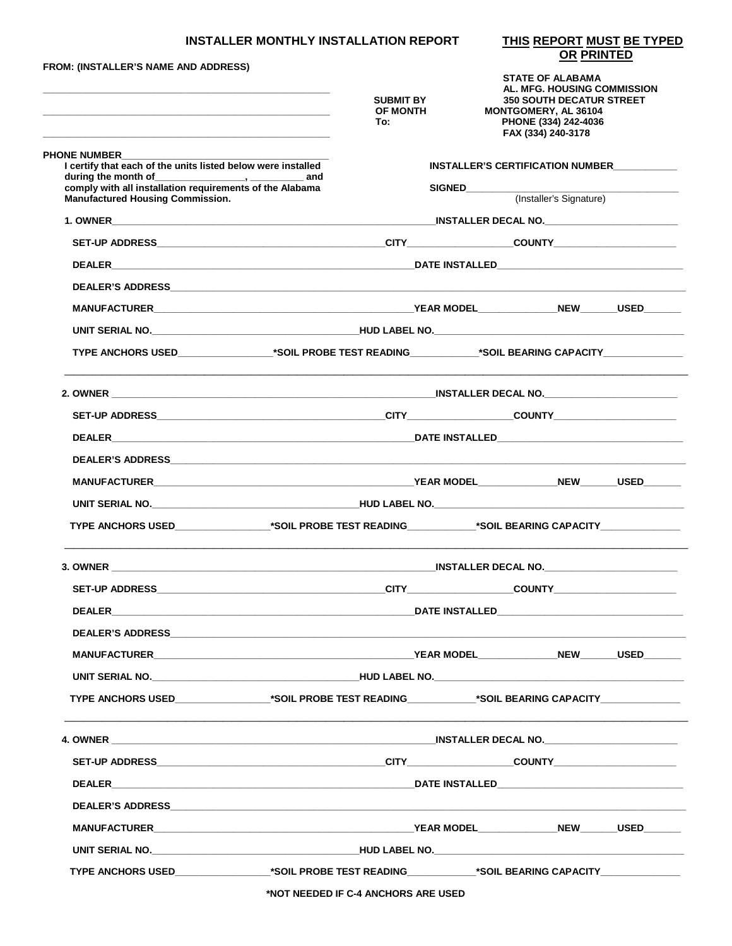## **INSTALLER MONTHLY INSTALLATION REPORT**

THIS REPORT MUST BE TYPED<br>OR PRINTED

| <b>FROM: (INSTALLER'S NAME AND ADDRESS)</b><br><u> 1980 - Jan James, Amerikaansk politiker (* 1905)</u>                                                                                                                        | <b>SUBMIT BY</b><br>OF MONTH<br>To: |                                  | <b>STATE OF ALABAMA</b><br>AL. MFG. HOUSING COMMISSION<br><b>350 SOUTH DECATUR STREET</b><br>MONTGOMERY, AL 36104<br>PHONE (334) 242-4036<br>FAX (334) 240-3178 |  |  |
|--------------------------------------------------------------------------------------------------------------------------------------------------------------------------------------------------------------------------------|-------------------------------------|----------------------------------|-----------------------------------------------------------------------------------------------------------------------------------------------------------------|--|--|
| <b>PHONE NUMBER</b><br>I certify that each of the units listed below were installed                                                                                                                                            |                                     |                                  |                                                                                                                                                                 |  |  |
| during the month of water and comply with all installation requirements of the Alabama                                                                                                                                         |                                     | INSTALLER'S CERTIFICATION NUMBER |                                                                                                                                                                 |  |  |
| <b>Manufactured Housing Commission.</b>                                                                                                                                                                                        |                                     | SIGNED                           | (Installer's Signature)                                                                                                                                         |  |  |
|                                                                                                                                                                                                                                |                                     |                                  |                                                                                                                                                                 |  |  |
|                                                                                                                                                                                                                                |                                     |                                  |                                                                                                                                                                 |  |  |
|                                                                                                                                                                                                                                |                                     |                                  |                                                                                                                                                                 |  |  |
|                                                                                                                                                                                                                                |                                     |                                  |                                                                                                                                                                 |  |  |
|                                                                                                                                                                                                                                |                                     |                                  |                                                                                                                                                                 |  |  |
|                                                                                                                                                                                                                                |                                     |                                  |                                                                                                                                                                 |  |  |
|                                                                                                                                                                                                                                |                                     |                                  |                                                                                                                                                                 |  |  |
|                                                                                                                                                                                                                                |                                     |                                  |                                                                                                                                                                 |  |  |
|                                                                                                                                                                                                                                |                                     |                                  |                                                                                                                                                                 |  |  |
|                                                                                                                                                                                                                                |                                     |                                  |                                                                                                                                                                 |  |  |
|                                                                                                                                                                                                                                |                                     |                                  |                                                                                                                                                                 |  |  |
|                                                                                                                                                                                                                                |                                     |                                  |                                                                                                                                                                 |  |  |
|                                                                                                                                                                                                                                |                                     |                                  |                                                                                                                                                                 |  |  |
| TYPE ANCHORS USED__________________*SOIL PROBE TEST READING____________*SOIL BEARING CAPACITY_____________                                                                                                                     |                                     |                                  |                                                                                                                                                                 |  |  |
|                                                                                                                                                                                                                                |                                     |                                  |                                                                                                                                                                 |  |  |
|                                                                                                                                                                                                                                |                                     |                                  |                                                                                                                                                                 |  |  |
| <b>DEALER DEALER DEALER DATE INSTALLED</b>                                                                                                                                                                                     |                                     |                                  |                                                                                                                                                                 |  |  |
|                                                                                                                                                                                                                                |                                     |                                  |                                                                                                                                                                 |  |  |
|                                                                                                                                                                                                                                |                                     |                                  |                                                                                                                                                                 |  |  |
|                                                                                                                                                                                                                                |                                     |                                  |                                                                                                                                                                 |  |  |
| TYPE ANCHORS USED________________*SOIL PROBE TEST READING____________*SOIL BEARING CAPACITY______________                                                                                                                      |                                     |                                  |                                                                                                                                                                 |  |  |
|                                                                                                                                                                                                                                |                                     |                                  |                                                                                                                                                                 |  |  |
|                                                                                                                                                                                                                                |                                     |                                  |                                                                                                                                                                 |  |  |
|                                                                                                                                                                                                                                |                                     |                                  |                                                                                                                                                                 |  |  |
|                                                                                                                                                                                                                                |                                     |                                  |                                                                                                                                                                 |  |  |
|                                                                                                                                                                                                                                |                                     |                                  |                                                                                                                                                                 |  |  |
| UNIT SERIAL NO. NORTH AND THE RESIDENCE IN THE RELATION OF THE RELATIONS OF THE RELATIONS OF THE RELATIONS OF THE RELATIONS OF THE RELATIONS OF THE RELATIONS OF THE RELATIONS OF THE RELATIONS OF THE RELATIONS OF THE RELATI |                                     |                                  |                                                                                                                                                                 |  |  |
| TYPE ANCHORS USED_________________*SOIL PROBE TEST READING____________*SOIL BEARING CAPACITY______________                                                                                                                     |                                     |                                  |                                                                                                                                                                 |  |  |

\*NOT NEEDED IF C-4 ANCHORS ARE USED